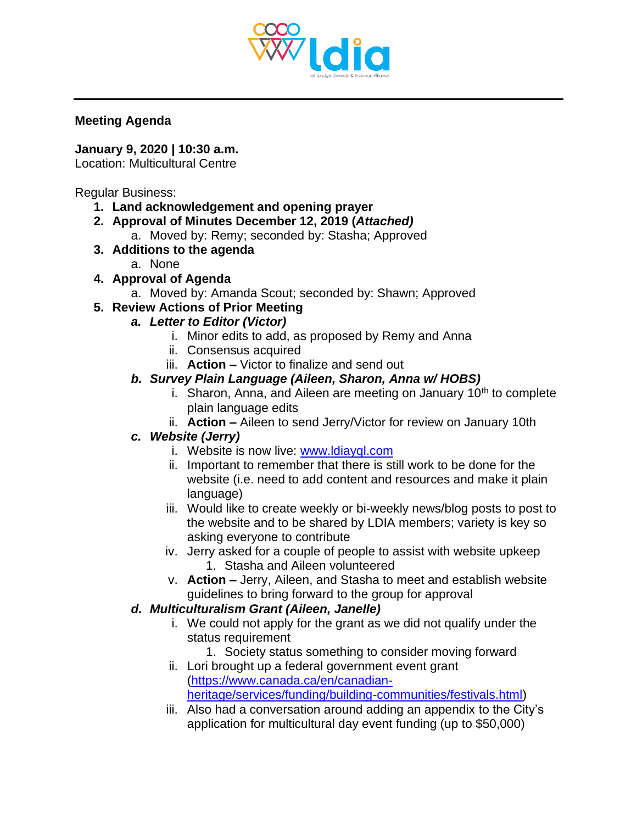

#### **Meeting Agenda**

### **January 9, 2020 | 10:30 a.m.**

Location: Multicultural Centre

Regular Business:

- **1. Land acknowledgement and opening prayer**
- **2. Approval of Minutes December 12, 2019 (***Attached)*
	- a. Moved by: Remy; seconded by: Stasha; Approved
- **3. Additions to the agenda**
	- a. None
- **4. Approval of Agenda**
	- a. Moved by: Amanda Scout; seconded by: Shawn; Approved
- **5. Review Actions of Prior Meeting**
	- *a. Letter to Editor (Victor)*
		- i. Minor edits to add, as proposed by Remy and Anna
		- ii. Consensus acquired
		- iii. **Action –** Victor to finalize and send out

## *b. Survey Plain Language (Aileen, Sharon, Anna w/ HOBS)*

- i. Sharon, Anna, and Aileen are meeting on January  $10<sup>th</sup>$  to complete plain language edits
- ii. **Action –** Aileen to send Jerry/Victor for review on January 10th

## *c. Website (Jerry)*

- i. Website is now live: [www.ldiayql.com](http://www.ldiayql.com/)
- ii. Important to remember that there is still work to be done for the website (i.e. need to add content and resources and make it plain language)
- iii. Would like to create weekly or bi-weekly news/blog posts to post to the website and to be shared by LDIA members; variety is key so asking everyone to contribute
- iv. Jerry asked for a couple of people to assist with website upkeep 1. Stasha and Aileen volunteered
- v. **Action –** Jerry, Aileen, and Stasha to meet and establish website guidelines to bring forward to the group for approval

## *d. Multiculturalism Grant (Aileen, Janelle)*

- i. We could not apply for the grant as we did not qualify under the status requirement
- 1. Society status something to consider moving forward ii. Lori brought up a federal government event grant
- [\(https://www.canada.ca/en/canadian](https://www.canada.ca/en/canadian-heritage/services/funding/building-communities/festivals.html)[heritage/services/funding/building-communities/festivals.html\)](https://www.canada.ca/en/canadian-heritage/services/funding/building-communities/festivals.html)
- iii. Also had a conversation around adding an appendix to the City's application for multicultural day event funding (up to \$50,000)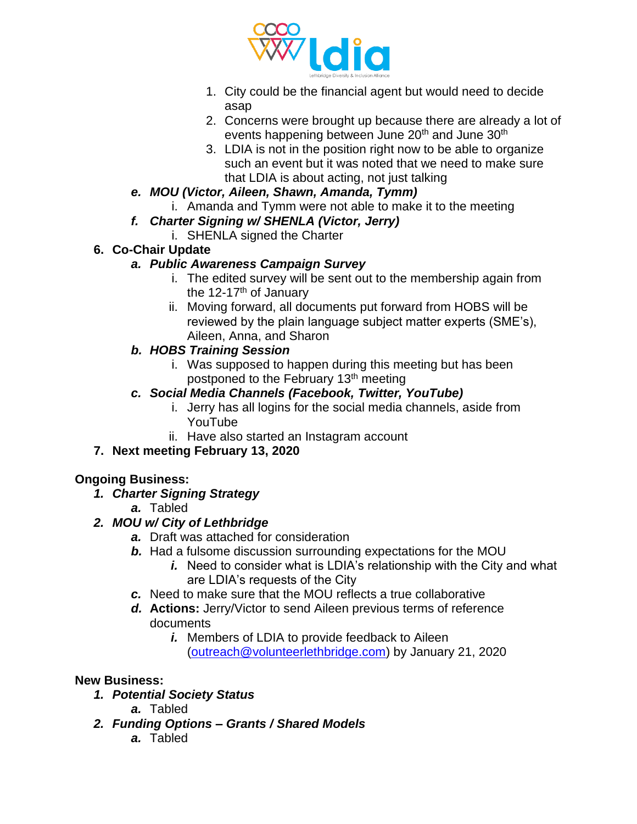

- 1. City could be the financial agent but would need to decide asap
- 2. Concerns were brought up because there are already a lot of events happening between June 20<sup>th</sup> and June 30<sup>th</sup>
- 3. LDIA is not in the position right now to be able to organize such an event but it was noted that we need to make sure that LDIA is about acting, not just talking
- *e. MOU (Victor, Aileen, Shawn, Amanda, Tymm)*
	- i. Amanda and Tymm were not able to make it to the meeting
- *f. Charter Signing w/ SHENLA (Victor, Jerry)*
	- i. SHENLA signed the Charter

## **6. Co-Chair Update**

## *a. Public Awareness Campaign Survey*

- i. The edited survey will be sent out to the membership again from the  $12-17$ <sup>th</sup> of January
- ii. Moving forward, all documents put forward from HOBS will be reviewed by the plain language subject matter experts (SME's), Aileen, Anna, and Sharon

## *b. HOBS Training Session*

i. Was supposed to happen during this meeting but has been postponed to the February 13th meeting

## *c. Social Media Channels (Facebook, Twitter, YouTube)*

- i. Jerry has all logins for the social media channels, aside from YouTube
- ii. Have also started an Instagram account
- **7. Next meeting February 13, 2020**

## **Ongoing Business:**

- *1. Charter Signing Strategy*
	- *a.* Tabled

# *2. MOU w/ City of Lethbridge*

- *a.* Draft was attached for consideration
- *b.* Had a fulsome discussion surrounding expectations for the MOU
	- *i.* Need to consider what is LDIA's relationship with the City and what are LDIA's requests of the City
- *c.* Need to make sure that the MOU reflects a true collaborative
- *d.* **Actions:** Jerry/Victor to send Aileen previous terms of reference documents
	- *i.* Members of LDIA to provide feedback to Aileen [\(outreach@volunteerlethbridge.com\)](mailto:outreach@volunteerlethbridge.com) by January 21, 2020

## **New Business:**

- *1. Potential Society Status*
	- *a.* Tabled
- *2. Funding Options – Grants / Shared Models*
	- *a.* Tabled